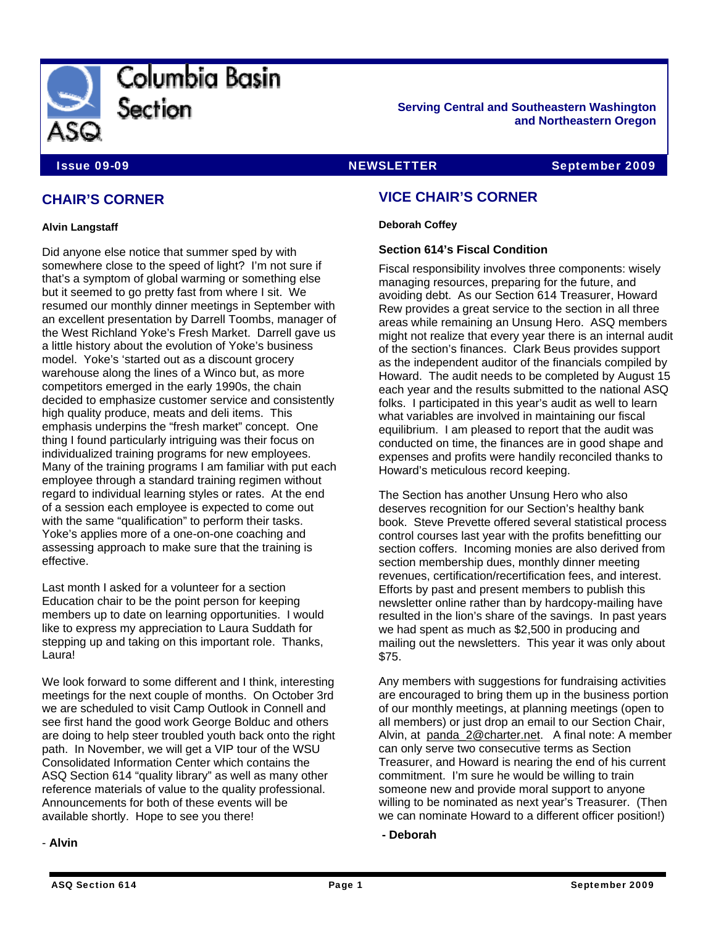

**Serving Central and Southeastern Washington and Northeastern Oregon** 

**Issue 09-09 NEWSLETTER September 2009** 

# **CHAIR'S CORNER**

#### **Alvin Langstaff**

Did anyone else notice that summer sped by with somewhere close to the speed of light? I'm not sure if that's a symptom of global warming or something else but it seemed to go pretty fast from where I sit. We resumed our monthly dinner meetings in September with an excellent presentation by Darrell Toombs, manager of the West Richland Yoke's Fresh Market. Darrell gave us a little history about the evolution of Yoke's business model. Yoke's 'started out as a discount grocery warehouse along the lines of a Winco but, as more competitors emerged in the early 1990s, the chain decided to emphasize customer service and consistently high quality produce, meats and deli items. This emphasis underpins the "fresh market" concept. One thing I found particularly intriguing was their focus on individualized training programs for new employees. Many of the training programs I am familiar with put each employee through a standard training regimen without regard to individual learning styles or rates. At the end of a session each employee is expected to come out with the same "qualification" to perform their tasks. Yoke's applies more of a one-on-one coaching and assessing approach to make sure that the training is effective.

Last month I asked for a volunteer for a section Education chair to be the point person for keeping members up to date on learning opportunities. I would like to express my appreciation to Laura Suddath for stepping up and taking on this important role. Thanks, Laura!

We look forward to some different and I think, interesting meetings for the next couple of months. On October 3rd we are scheduled to visit Camp Outlook in Connell and see first hand the good work George Bolduc and others are doing to help steer troubled youth back onto the right path. In November, we will get a VIP tour of the WSU Consolidated Information Center which contains the ASQ Section 614 "quality library" as well as many other reference materials of value to the quality professional. Announcements for both of these events will be available shortly. Hope to see you there!

# **VICE CHAIR'S CORNER**

**Deborah Coffey** 

# **Section 614's Fiscal Condition**

Fiscal responsibility involves three components: wisely managing resources, preparing for the future, and avoiding debt. As our Section 614 Treasurer, Howard Rew provides a great service to the section in all three areas while remaining an Unsung Hero. ASQ members might not realize that every year there is an internal audit of the section's finances. Clark Beus provides support as the independent auditor of the financials compiled by Howard. The audit needs to be completed by August 15 each year and the results submitted to the national ASQ folks. I participated in this year's audit as well to learn what variables are involved in maintaining our fiscal equilibrium. I am pleased to report that the audit was conducted on time, the finances are in good shape and expenses and profits were handily reconciled thanks to Howard's meticulous record keeping.

The Section has another Unsung Hero who also deserves recognition for our Section's healthy bank book. Steve Prevette offered several statistical process control courses last year with the profits benefitting our section coffers. Incoming monies are also derived from section membership dues, monthly dinner meeting revenues, certification/recertification fees, and interest. Efforts by past and present members to publish this newsletter online rather than by hardcopy-mailing have resulted in the lion's share of the savings. In past years we had spent as much as \$2,500 in producing and mailing out the newsletters. This year it was only about \$75.

Any members with suggestions for fundraising activities are encouraged to bring them up in the business portion of our monthly meetings, at planning meetings (open to all members) or just drop an email to our Section Chair, Alvin, at [panda\\_2@charter.net](mailto:panda_2@charter.net). A final note: A member can only serve two consecutive terms as Section Treasurer, and Howard is nearing the end of his current commitment. I'm sure he would be willing to train someone new and provide moral support to anyone willing to be nominated as next year's Treasurer. (Then we can nominate Howard to a different officer position!)

**- Deborah** 

## - **Alvin**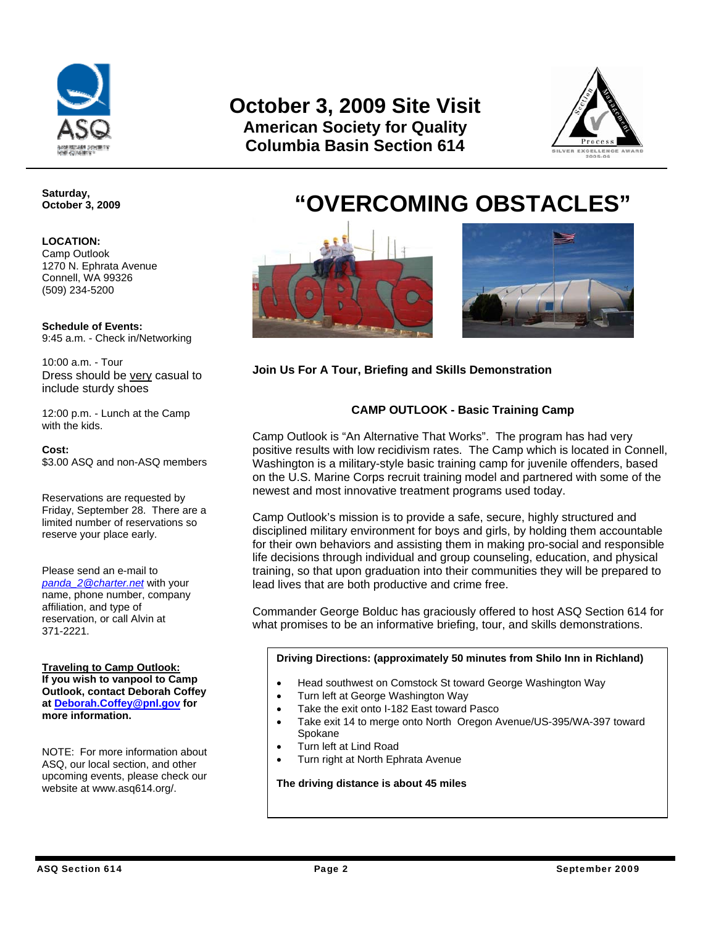

# **October 3, 2009 Site Visit American Society for Quality Columbia Basin Section 614**



**Saturday, October 3, 2009** 

## **LOCATION:**

Camp Outlook 1270 N. Ephrata Avenue Connell, WA 99326 (509) 234-5200

**Schedule of Events:** 9:45 a.m. - Check in/Networking

10:00 a.m. - Tour Dress should be very casual to include sturdy shoes

12:00 p.m. - Lunch at the Camp with the kids.

#### **Cost:**

\$3.00 ASQ and non-ASQ members

Reservations are requested by Friday, September 28. There are a limited number of reservations so reserve your place early.

Please send an e-mail to *[panda\\_2@charter.net](mailto:panda_2@charter.net)* with your name, phone number, company affiliation, and type of reservation, or call Alvin at 371-2221.

**Traveling to Camp Outlook: If you wish to vanpool to Camp Outlook, contact Deborah Coffey at Deborah.Coffey@pnl.gov for more information.** 

NOTE: For more information about ASQ, our local section, and other upcoming events, please check our website at www.asq614.org/.

# **"OVERCOMING OBSTACLES"**



**Join Us For A Tour, Briefing and Skills Demonstration** 

# **CAMP OUTLOOK - Basic Training Camp**

Camp Outlook is "An Alternative That Works". The program has had very positive results with low recidivism rates. The Camp which is located in Connell, Washington is a military-style basic training camp for juvenile offenders, based on the U.S. Marine Corps recruit training model and partnered with some of the newest and most innovative treatment programs used today.

Camp Outlook's mission is to provide a safe, secure, highly structured and disciplined military environment for boys and girls, by holding them accountable for their own behaviors and assisting them in making pro-social and responsible life decisions through individual and group counseling, education, and physical training, so that upon graduation into their communities they will be prepared to lead lives that are both productive and crime free.

Commander George Bolduc has graciously offered to host ASQ Section 614 for what promises to be an informative briefing, tour, and skills demonstrations.

## **Driving Directions: (approximately 50 minutes from Shilo Inn in Richland)**

- Head southwest on Comstock St toward George Washington Way
- Turn left at George Washington Way
- Take the exit onto I-182 East toward Pasco
- Take exit 14 to merge onto North Oregon Avenue/US-395/WA-397 toward Spokane
- Turn left at Lind Road
- Turn right at North Ephrata Avenue

**The driving distance is about 45 miles**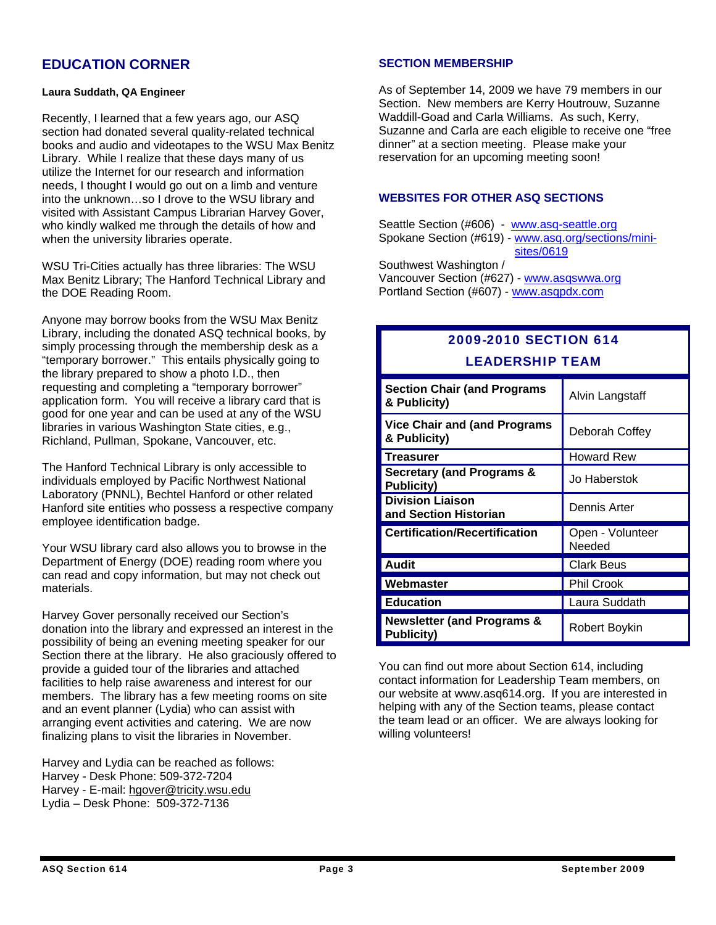# **EDUCATION CORNER**

#### **Laura Suddath, QA Engineer**

Recently, I learned that a few years ago, our ASQ section had donated several quality-related technical books and audio and videotapes to the WSU Max Benitz Library. While I realize that these days many of us utilize the Internet for our research and information needs, I thought I would go out on a limb and venture into the unknown…so I drove to the WSU library and visited with Assistant Campus Librarian Harvey Gover, who kindly walked me through the details of how and when the university libraries operate.

WSU Tri-Cities actually has three libraries: The WSU Max Benitz Library; The Hanford Technical Library and the DOE Reading Room.

Anyone may borrow books from the WSU Max Benitz Library, including the donated ASQ technical books, by simply processing through the membership desk as a "temporary borrower." This entails physically going to the library prepared to show a photo I.D., then requesting and completing a "temporary borrower" application form. You will receive a library card that is good for one year and can be used at any of the WSU libraries in various Washington State cities, e.g., Richland, Pullman, Spokane, Vancouver, etc.

The Hanford Technical Library is only accessible to individuals employed by Pacific Northwest National Laboratory (PNNL), Bechtel Hanford or other related Hanford site entities who possess a respective company employee identification badge.

Your WSU library card also allows you to browse in the Department of Energy (DOE) reading room where you can read and copy information, but may not check out materials.

Harvey Gover personally received our Section's donation into the library and expressed an interest in the possibility of being an evening meeting speaker for our Section there at the library. He also graciously offered to provide a guided tour of the libraries and attached facilities to help raise awareness and interest for our members. The library has a few meeting rooms on site and an event planner (Lydia) who can assist with arranging event activities and catering. We are now finalizing plans to visit the libraries in November.

Harvey and Lydia can be reached as follows: Harvey - Desk Phone: 509-372-7204 Harvey - E-mail: [hgover@tricity.wsu.edu](mailto:hgover@tricity.wsu.edu) Lydia – Desk Phone: 509-372-7136

# **SECTION MEMBERSHIP**

As of September 14, 2009 we have 79 members in our Section. New members are Kerry Houtrouw, Suzanne Waddill-Goad and Carla Williams. As such, Kerry, Suzanne and Carla are each eligible to receive one "free dinner" at a section meeting. Please make your reservation for an upcoming meeting soon!

# **WEBSITES FOR OTHER ASQ SECTIONS**

Seattle Section (#606) - [www.asq-seattle.org](http://www.asq-seattle.org/) Spokane Section (#619) - www.asq.org/sections/mini [sites/0619](http://www.spokaneasq.org/)

Southwest Washington / Vancouver Section (#627) - [www.asqswwa.org](http://www.asqswwa.org/) Portland Section (#607) - [www.asqpdx.com](http://www.asqpdx.com/)

# 2009-2010 SECTION 614 LEADERSHIP TEAM

| <b>Section Chair (and Programs</b><br>& Publicity)         | Alvin Langstaff            |
|------------------------------------------------------------|----------------------------|
| <b>Vice Chair and (and Programs</b><br>& Publicity)        | Deborah Coffey             |
| <b>Treasurer</b>                                           | <b>Howard Rew</b>          |
| <b>Secretary (and Programs &amp;</b><br><b>Publicity)</b>  | Jo Haberstok               |
| <b>Division Liaison</b><br>and Section Historian           | Dennis Arter               |
| <b>Certification/Recertification</b>                       | Open - Volunteer<br>Needed |
| <b>Audit</b>                                               | <b>Clark Beus</b>          |
| Webmaster                                                  | <b>Phil Crook</b>          |
| <b>Education</b>                                           | Laura Suddath              |
| <b>Newsletter (and Programs &amp;</b><br><b>Publicity)</b> | Robert Boykin              |

You can find out more about Section 614, including contact information for Leadership Team members, on our website at www.asq614.org. If you are interested in helping with any of the Section teams, please contact the team lead or an officer. We are always looking for willing volunteers!